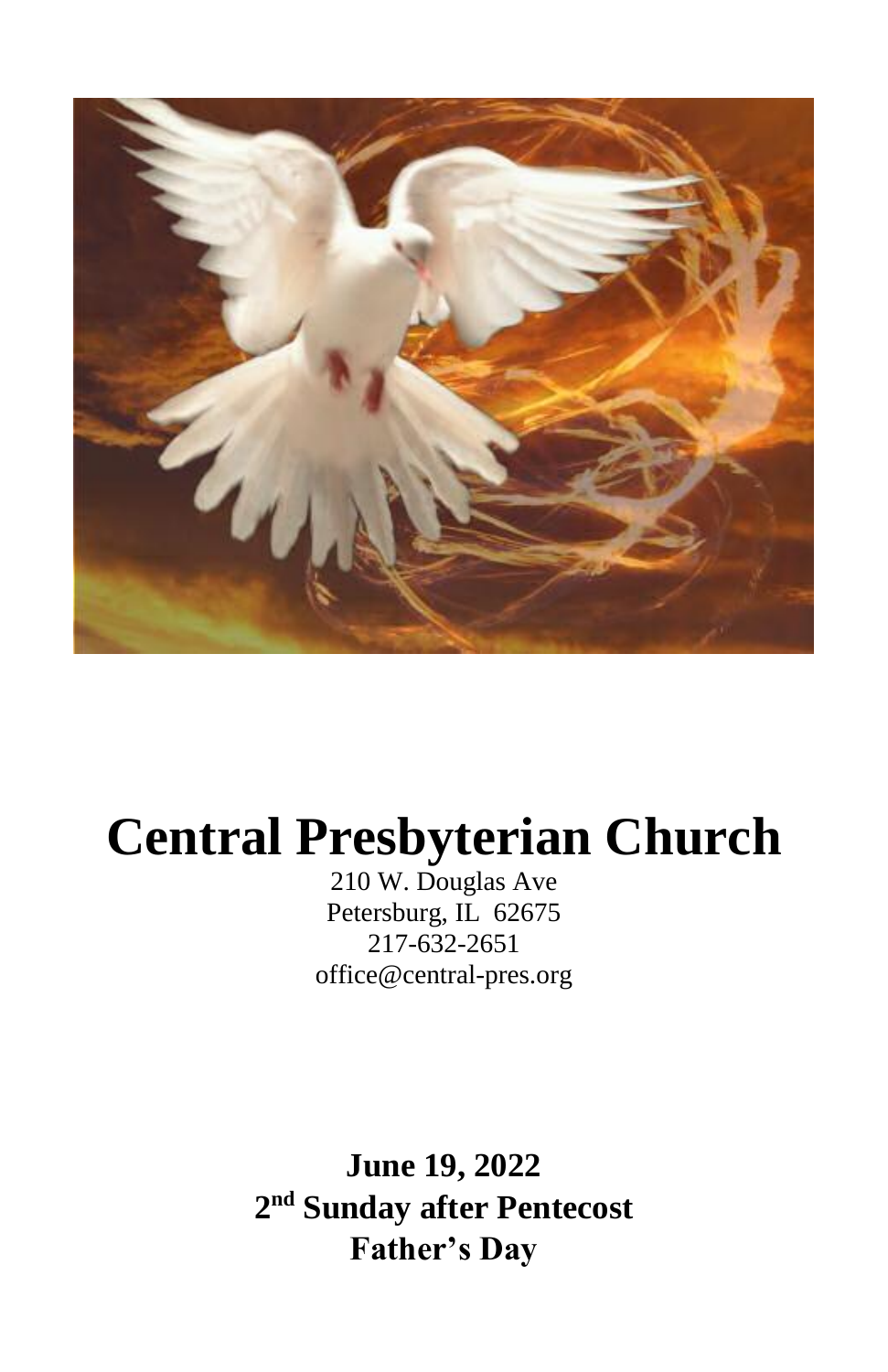

# **Central Presbyterian Church**

210 W. Douglas Ave Petersburg, IL 62675 217-632-2651 [office@central-pres.org](mailto:centralpreschurch@sbcglobal.net)

**June 19, 2022 2 nd Sunday after Pentecost Father's Day**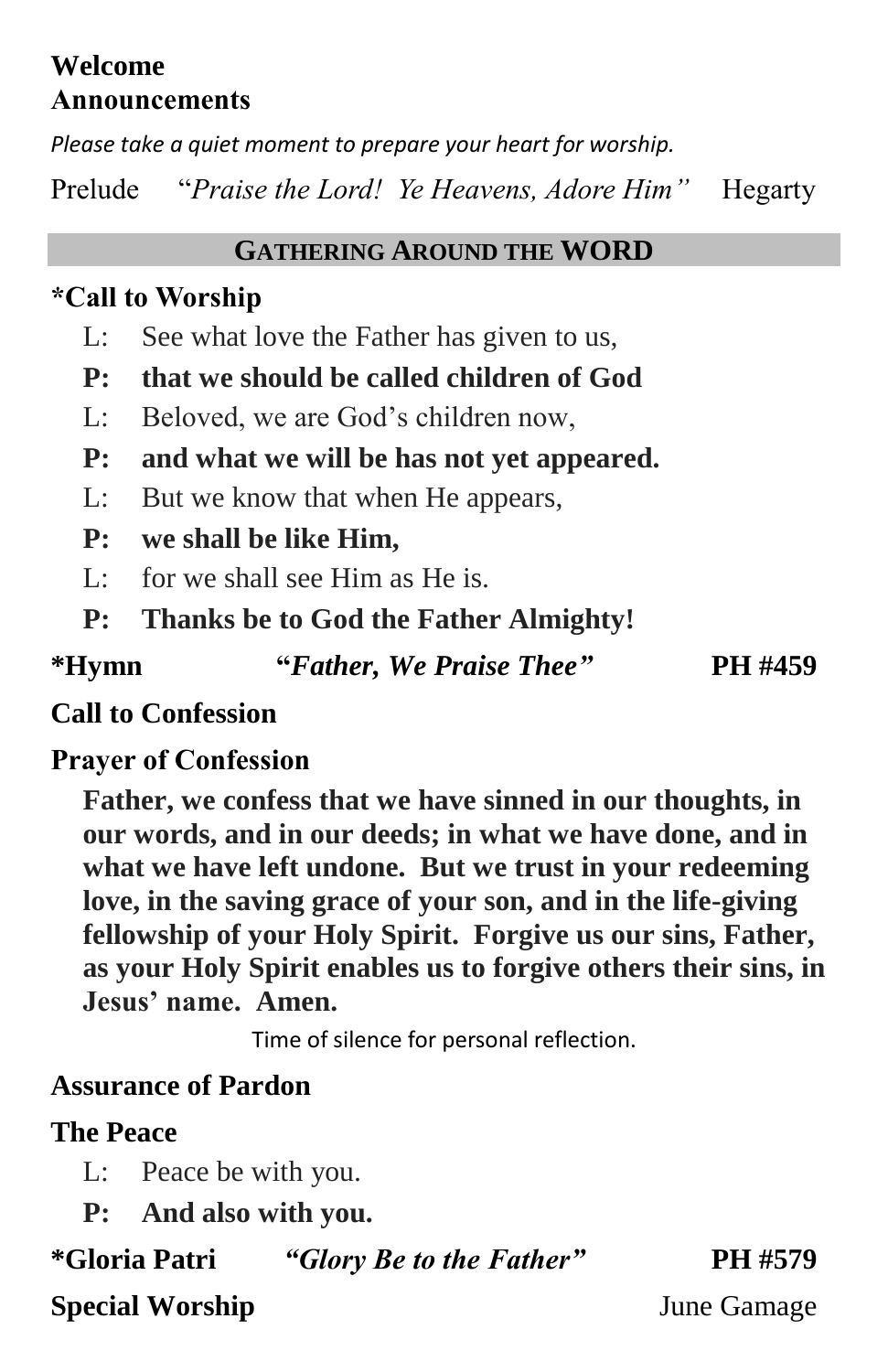## **Welcome Announcements**

*Please take a quiet moment to prepare your heart for worship.*

Prelude "*Praise the Lord! Ye Heavens, Adore Him"* Hegarty

### **GATHERING AROUND THE WORD**

## **\*Call to Worship**

- L: See what love the Father has given to us,
- **P: that we should be called children of God**
- L: Beloved, we are God's children now,
- **P: and what we will be has not yet appeared.**
- L: But we know that when He appears,
- **P: we shall be like Him,**
- L: for we shall see Him as He is.
- **P: Thanks be to God the Father Almighty!**

**\*Hymn "***Father, We Praise Thee"* **PH #459**

# **Call to Confession**

## **Prayer of Confession**

**Father, we confess that we have sinned in our thoughts, in our words, and in our deeds; in what we have done, and in what we have left undone. But we trust in your redeeming love, in the saving grace of your son, and in the life-giving fellowship of your Holy Spirit. Forgive us our sins, Father, as your Holy Spirit enables us to forgive others their sins, in Jesus' name. Amen.**

Time of silence for personal reflection.

# **Assurance of Pardon**

## **The Peace**

- L: Peace be with you.
- **P: And also with you.**

**\*Gloria Patri** *"Glory Be to the Father"* **PH #579**

**Special Worship** June Gamage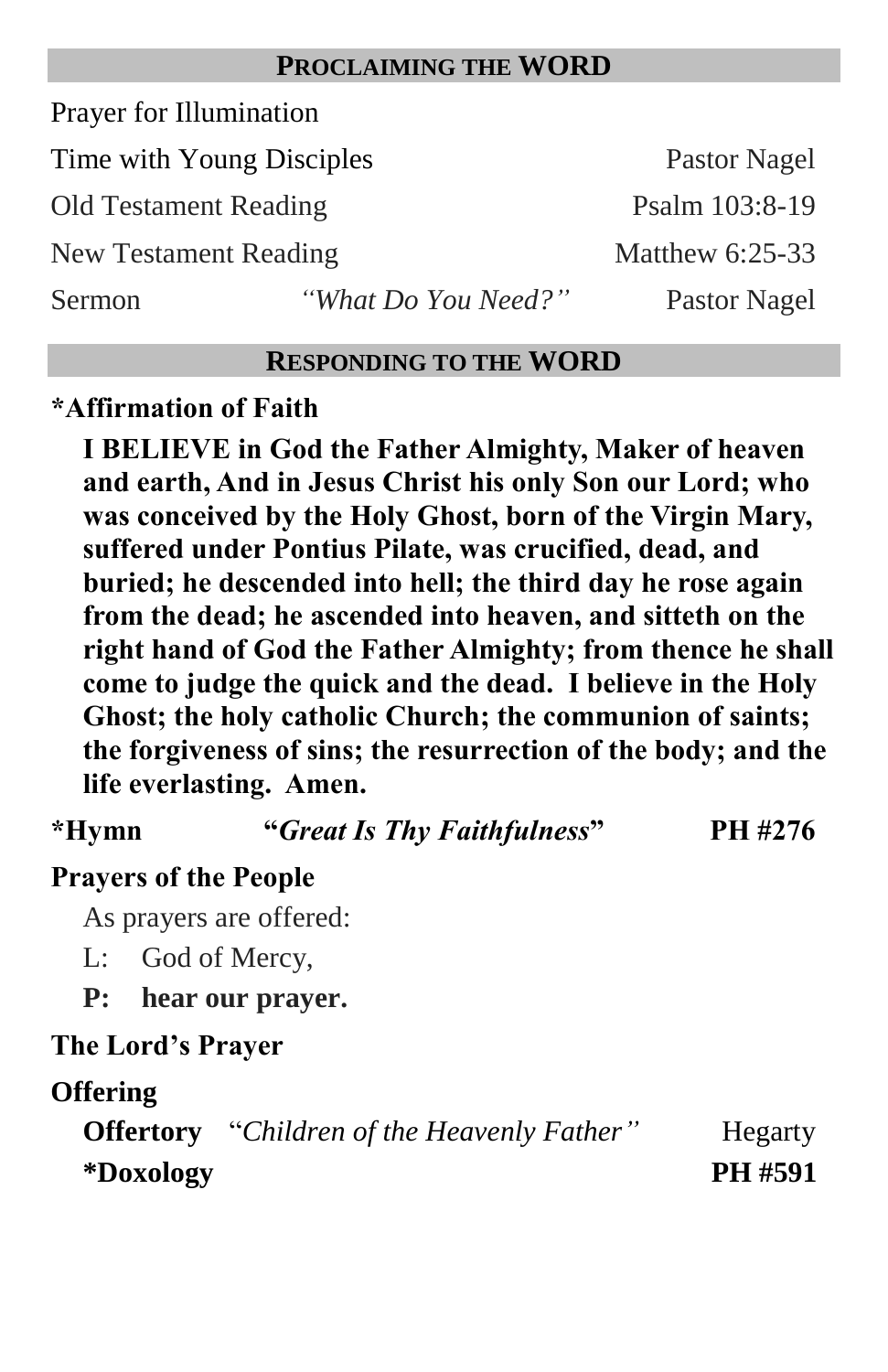#### **PROCLAIMING THE WORD**

Prayer for Illumination

Time with Young Disciples Pastor Nagel

Old Testament Reading Psalm 103:8-19

New Testament Reading Matthew 6:25-33

Sermon *"What Do You Need?"* Pastor Nagel

#### **RESPONDING TO THE WORD**

#### **\*Affirmation of Faith**

**I BELIEVE in God the Father Almighty, Maker of heaven and earth, And in Jesus Christ his only Son our Lord; who was conceived by the Holy Ghost, born of the Virgin Mary, suffered under Pontius Pilate, was crucified, dead, and buried; he descended into hell; the third day he rose again from the dead; he ascended into heaven, and sitteth on the right hand of God the Father Almighty; from thence he shall come to judge the quick and the dead. I believe in the Holy Ghost; the holy catholic Church; the communion of saints; the forgiveness of sins; the resurrection of the body; and the life everlasting. Amen.**

**\*Hymn "***Great Is Thy Faithfulness***" PH #276**

## **Prayers of the People**

As prayers are offered:

- L: God of Mercy,
- **P: hear our prayer.**

#### **The Lord's Prayer**

#### **Offering**

**Offertory** "*Children of the Heavenly Father*" Hegarty **\*Doxology PH #591**